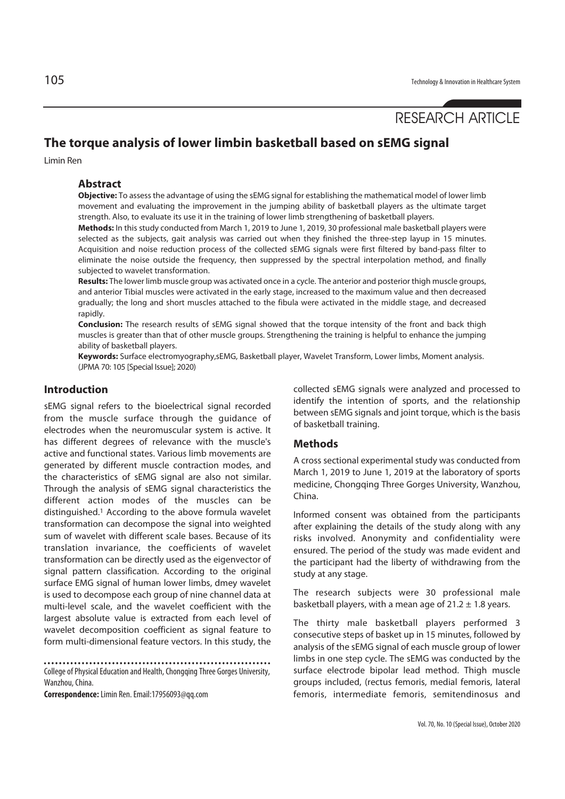# RESEARCH ARTICLE

## **The torque analysis of lower limbin basketball based on sEMG signal**

Limin Ren

### **Abstract**

**Objective:** To assess the advantage of using the sEMG signal for establishing the mathematical model of lower limb movement and evaluating the improvement in the jumping ability of basketball players as the ultimate target strength. Also, to evaluate its use it in the training of lower limb strengthening of basketball players.

**Methods:** In this study conducted from March 1, 2019 to June 1, 2019, 30 professional male basketball players were selected as the subjects, gait analysis was carried out when they finished the three-step layup in 15 minutes. Acquisition and noise reduction process of the collected sEMG signals were first filtered by band-pass filter to eliminate the noise outside the frequency, then suppressed by the spectral interpolation method, and finally subjected to wavelet transformation.

**Results:** The lower limb muscle group was activated once in a cycle. The anterior and posterior thigh muscle groups, and anterior Tibial muscles were activated in the early stage, increased to the maximum value and then decreased gradually; the long and short muscles attached to the fibula were activated in the middle stage, and decreased rapidly.

**Conclusion:** The research results of sEMG signal showed that the torque intensity of the front and back thigh muscles is greater than that of other muscle groups. Strengthening the training is helpful to enhance the jumping ability of basketball players.

**Keywords:** Surface electromyography,sEMG, Basketball player, Wavelet Transform, Lower limbs, Moment analysis. (JPMA 70: 105 [Special Issue]; 2020)

## **Introduction**

sEMG signal refers to the bioelectrical signal recorded from the muscle surface through the guidance of electrodes when the neuromuscular system is active. It has different degrees of relevance with the muscle's active and functional states. Various limb movements are generated by different muscle contraction modes, and the characteristics of sEMG signal are also not similar. Through the analysis of sEMG signal characteristics the different action modes of the muscles can be distinguished.1 According to the above formula wavelet transformation can decompose the signal into weighted sum of wavelet with different scale bases. Because of its translation invariance, the coefficients of wavelet transformation can be directly used as the eigenvector of signal pattern classification. According to the original surface EMG signal of human lower limbs, dmey wavelet is used to decompose each group of nine channel data at multi-level scale, and the wavelet coefficient with the largest absolute value is extracted from each level of wavelet decomposition coefficient as signal feature to form multi-dimensional feature vectors. In this study, the

College of Physical Education and Health, Chongqing Three Gorges University, Wanzhou, China.

**Correspondence:** Limin Ren. Email:17956093@qq.com

collected sEMG signals were analyzed and processed to identify the intention of sports, and the relationship between sEMG signals and joint torque, which is the basis of basketball training.

### **Methods**

A cross sectional experimental study was conducted from March 1, 2019 to June 1, 2019 at the laboratory of sports medicine, Chongqing Three Gorges University, Wanzhou, China.

Informed consent was obtained from the participants after explaining the details of the study along with any risks involved. Anonymity and confidentiality were ensured. The period of the study was made evident and the participant had the liberty of withdrawing from the study at any stage.

The research subjects were 30 professional male basketball players, with a mean age of  $21.2 \pm 1.8$  years.

The thirty male basketball players performed 3 consecutive steps of basket up in 15 minutes, followed by analysis of the sEMG signal of each muscle group of lower limbs in one step cycle. The sEMG was conducted by the surface electrode bipolar lead method. Thigh muscle groups included, (rectus femoris, medial femoris, lateral femoris, intermediate femoris, semitendinosus and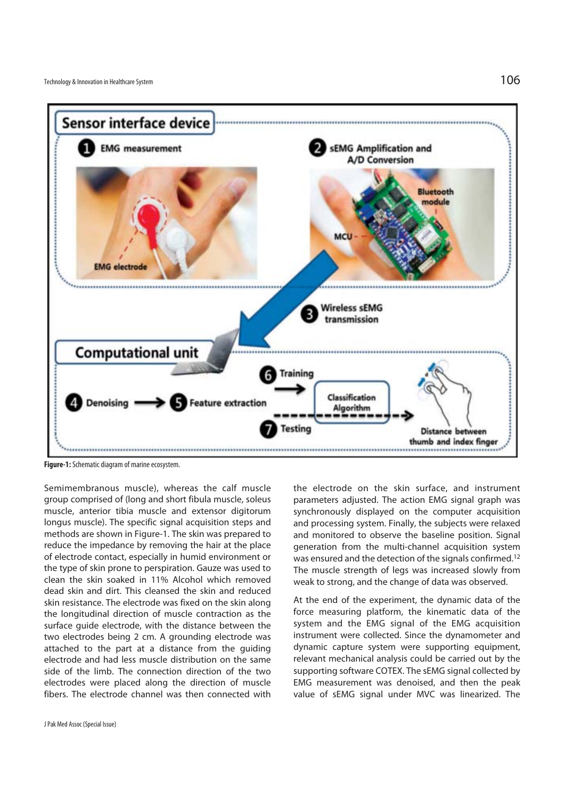

**Figure-1:** Schematic diagram of marine ecosystem.

Semimembranous muscle), whereas the calf muscle group comprised of (long and short fibula muscle, soleus muscle, anterior tibia muscle and extensor digitorum longus muscle). The specific signal acquisition steps and methods are shown in Figure-1. The skin was prepared to reduce the impedance by removing the hair at the place of electrode contact, especially in humid environment or the type of skin prone to perspiration. Gauze was used to clean the skin soaked in 11% Alcohol which removed dead skin and dirt. This cleansed the skin and reduced skin resistance. The electrode was fixed on the skin along the longitudinal direction of muscle contraction as the surface guide electrode, with the distance between the two electrodes being 2 cm. A grounding electrode was attached to the part at a distance from the guiding electrode and had less muscle distribution on the same side of the limb. The connection direction of the two electrodes were placed along the direction of muscle fibers. The electrode channel was then connected with

the electrode on the skin surface, and instrument parameters adjusted. The action EMG signal graph was synchronously displayed on the computer acquisition and processing system. Finally, the subjects were relaxed and monitored to observe the baseline position. Signal generation from the multi-channel acquisition system was ensured and the detection of the signals confirmed.12 The muscle strength of legs was increased slowly from weak to strong, and the change of data was observed.

At the end of the experiment, the dynamic data of the force measuring platform, the kinematic data of the system and the EMG signal of the EMG acquisition instrument were collected. Since the dynamometer and dynamic capture system were supporting equipment, relevant mechanical analysis could be carried out by the supporting software COTEX. The sEMG signal collected by EMG measurement was denoised, and then the peak value of sEMG signal under MVC was linearized. The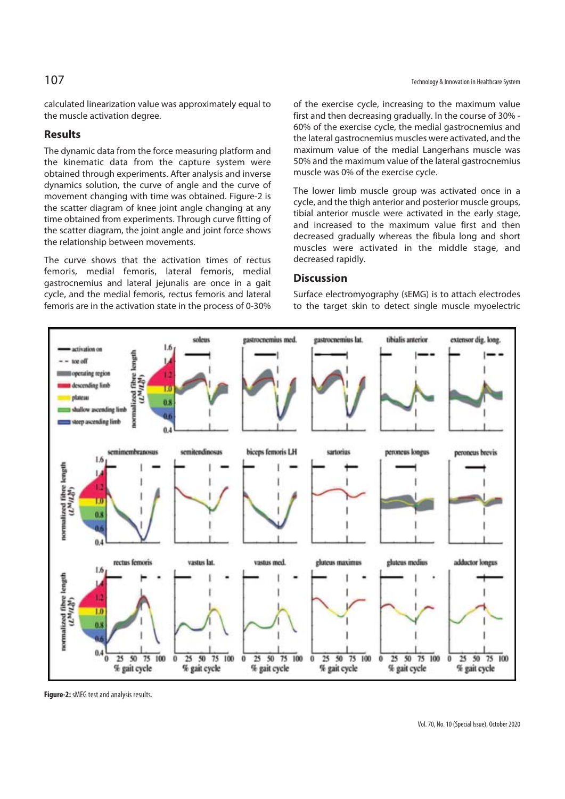calculated linearization value was approximately equal to the muscle activation degree.

## **Results**

The dynamic data from the force measuring platform and the kinematic data from the capture system were obtained through experiments. After analysis and inverse dynamics solution, the curve of angle and the curve of movement changing with time was obtained. Figure-2 is the scatter diagram of knee joint angle changing at any time obtained from experiments. Through curve fitting of the scatter diagram, the joint angle and joint force shows the relationship between movements.

The curve shows that the activation times of rectus femoris, medial femoris, lateral femoris, medial gastrocnemius and lateral jejunalis are once in a gait cycle, and the medial femoris, rectus femoris and lateral femoris are in the activation state in the process of 0-30% of the exercise cycle, increasing to the maximum value first and then decreasing gradually. In the course of 30% - 60% of the exercise cycle, the medial gastrocnemius and the lateral gastrocnemius muscles were activated, and the maximum value of the medial Langerhans muscle was 50% and the maximum value of the lateral gastrocnemius muscle was 0% of the exercise cycle.

The lower limb muscle group was activated once in a cycle, and the thigh anterior and posterior muscle groups, tibial anterior muscle were activated in the early stage, and increased to the maximum value first and then decreased gradually whereas the fibula long and short muscles were activated in the middle stage, and decreased rapidly.

## **Discussion**

Surface electromyography (sEMG) is to attach electrodes to the target skin to detect single muscle myoelectric



**Figure-2:** sMEG test and analysis results.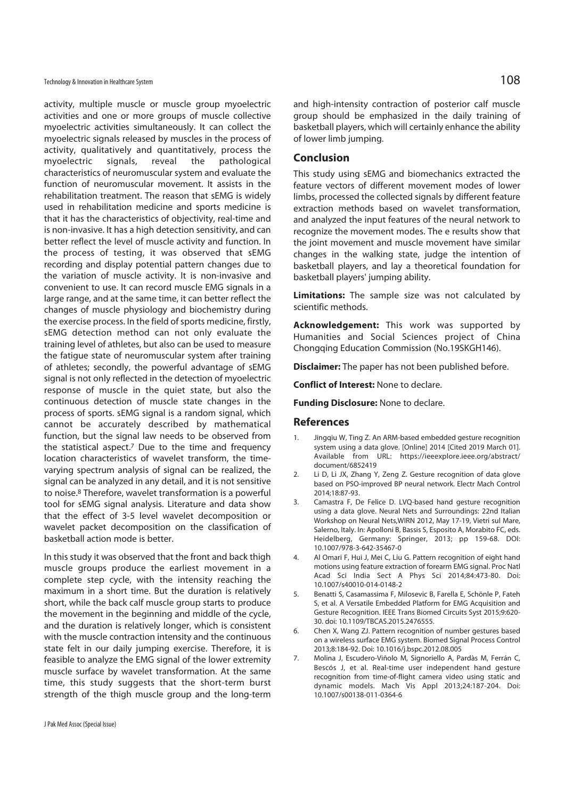Technology & Innovation in Healthcare System  $108$ 

activity, multiple muscle or muscle group myoelectric activities and one or more groups of muscle collective myoelectric activities simultaneously. It can collect the myoelectric signals released by muscles in the process of activity, qualitatively and quantitatively, process the myoelectric signals, reveal the pathological characteristics of neuromuscular system and evaluate the function of neuromuscular movement. It assists in the rehabilitation treatment. The reason that sEMG is widely used in rehabilitation medicine and sports medicine is that it has the characteristics of objectivity, real-time and is non-invasive. It has a high detection sensitivity, and can better reflect the level of muscle activity and function. In the process of testing, it was observed that sEMG recording and display potential pattern changes due to the variation of muscle activity. It is non-invasive and convenient to use. It can record muscle EMG signals in a large range, and at the same time, it can better reflect the changes of muscle physiology and biochemistry during the exercise process. In the field of sports medicine, firstly, sEMG detection method can not only evaluate the training level of athletes, but also can be used to measure the fatigue state of neuromuscular system after training of athletes; secondly, the powerful advantage of sEMG signal is not only reflected in the detection of myoelectric response of muscle in the quiet state, but also the continuous detection of muscle state changes in the process of sports. sEMG signal is a random signal, which cannot be accurately described by mathematical function, but the signal law needs to be observed from the statistical aspect.7 Due to the time and frequency location characteristics of wavelet transform, the timevarying spectrum analysis of signal can be realized, the signal can be analyzed in any detail, and it is not sensitive to noise.8 Therefore, wavelet transformation is a powerful tool for sEMG signal analysis. Literature and data show that the effect of 3-5 level wavelet decomposition or wavelet packet decomposition on the classification of basketball action mode is better.

In this study it was observed that the front and back thigh muscle groups produce the earliest movement in a complete step cycle, with the intensity reaching the maximum in a short time. But the duration is relatively short, while the back calf muscle group starts to produce the movement in the beginning and middle of the cycle, and the duration is relatively longer, which is consistent with the muscle contraction intensity and the continuous state felt in our daily jumping exercise. Therefore, it is feasible to analyze the EMG signal of the lower extremity muscle surface by wavelet transformation. At the same time, this study suggests that the short-term burst strength of the thigh muscle group and the long-term and high-intensity contraction of posterior calf muscle group should be emphasized in the daily training of basketball players, which will certainly enhance the ability of lower limb jumping.

#### **Conclusion**

This study using sEMG and biomechanics extracted the feature vectors of different movement modes of lower limbs, processed the collected signals by different feature extraction methods based on wavelet transformation, and analyzed the input features of the neural network to recognize the movement modes. The e results show that the joint movement and muscle movement have similar changes in the walking state, judge the intention of basketball players, and lay a theoretical foundation for basketball players' jumping ability.

**Limitations:** The sample size was not calculated by scientific methods.

**Acknowledgement:** This work was supported by Humanities and Social Sciences project of China Chongqing Education Commission (No.19SKGH146).

**Disclaimer:** The paper has not been published before.

**Conflict of Interest:** None to declare.

**Funding Disclosure:** None to declare.

### **References**

- 1. Jingqiu W, Ting Z. An ARM-based embedded gesture recognition system using a data glove. [Online] 2014 [Cited 2019 March 01]. Available from URL: https://ieeexplore.ieee.org/abstract/ document/6852419
- 2. Li D, Li JX, Zhang Y, Zeng Z. Gesture recognition of data glove based on PSO-improved BP neural network. Electr Mach Control 2014;18:87-93.
- 3. Camastra F, De Felice D. LVQ-based hand gesture recognition using a data glove. Neural Nets and Surroundings: 22nd Italian Workshop on Neural Nets,WIRN 2012, May 17-19, Vietri sul Mare, Salerno, Italy. In: Apolloni B, Bassis S, Esposito A, Morabito FC, eds. Heidelberg, Germany: Springer, 2013; pp 159-68. DOI: 10.1007/978-3-642-35467-0
- 4. Al Omari F, Hui J, Mei C, Liu G. Pattern recognition of eight hand motions using feature extraction of forearm EMG signal. Proc Natl Acad Sci India Sect A Phys Sci 2014;84:473-80. Doi: 10.1007/s40010-014-0148-2
- 5. Benatti S, Casamassima F, Milosevic B, Farella E, Schönle P, Fateh S, et al. A Versatile Embedded Platform for EMG Acquisition and Gesture Recognition. IEEE Trans Biomed Circuits Syst 2015;9:620- 30. doi: 10.1109/TBCAS.2015.2476555.
- 6. Chen X, Wang ZJ. Pattern recognition of number gestures based on a wireless surface EMG system. Biomed Signal Process Control 2013;8:184-92. Doi: 10.1016/j.bspc.2012.08.005
- 7. Molina J, Escudero-Viñolo M, Signoriello A, Pardàs M, Ferrán C, Bescós J, et al. Real-time user independent hand gesture recognition from time-of-flight camera video using static and dynamic models. Mach Vis Appl 2013;24:187-204. Doi: 10.1007/s00138-011-0364-6